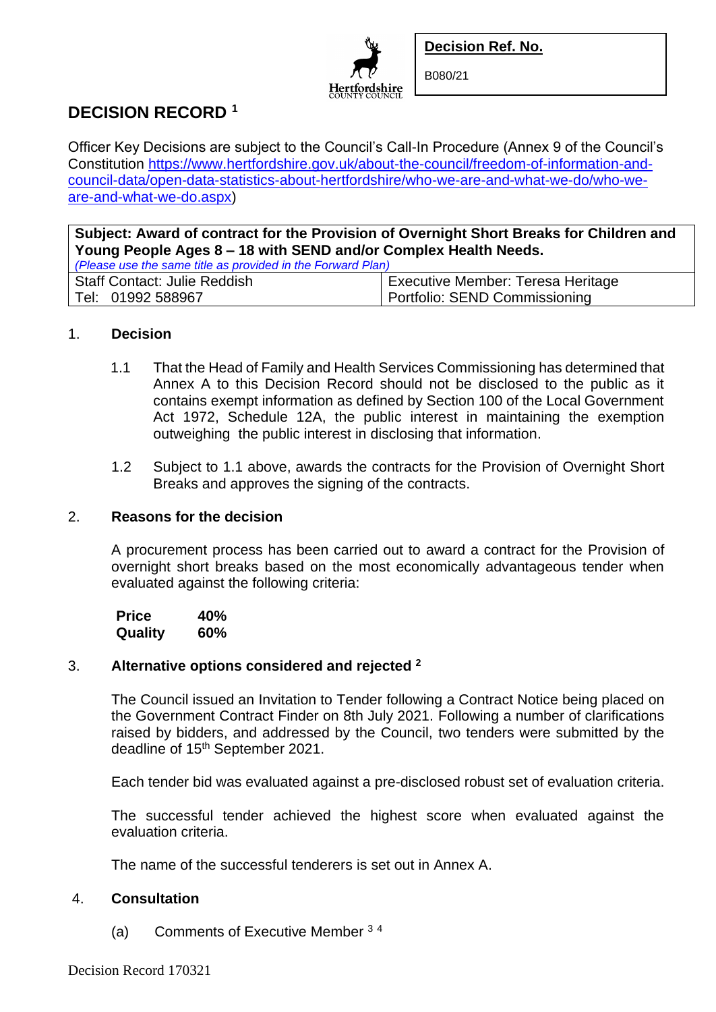



B080/21

# **DECISION RECORD <sup>1</sup>**

Officer Key Decisions are subject to the Council's Call-In Procedure (Annex 9 of the Council's Constitution [https://www.hertfordshire.gov.uk/about-the-council/freedom-of-information-and](https://www.hertfordshire.gov.uk/about-the-council/freedom-of-information-and-council-data/open-data-statistics-about-hertfordshire/who-we-are-and-what-we-do/who-we-are-and-what-we-do.aspx)[council-data/open-data-statistics-about-hertfordshire/who-we-are-and-what-we-do/who-we](https://www.hertfordshire.gov.uk/about-the-council/freedom-of-information-and-council-data/open-data-statistics-about-hertfordshire/who-we-are-and-what-we-do/who-we-are-and-what-we-do.aspx)[are-and-what-we-do.aspx\)](https://www.hertfordshire.gov.uk/about-the-council/freedom-of-information-and-council-data/open-data-statistics-about-hertfordshire/who-we-are-and-what-we-do/who-we-are-and-what-we-do.aspx)

**Subject: Award of contract for the Provision of Overnight Short Breaks for Children and Young People Ages 8 – 18 with SEND and/or Complex Health Needs.** *(Please use the same title as provided in the Forward Plan)*

| $\frac{1}{2}$ reader and the barrow and are provided in the reductional range |                                   |
|-------------------------------------------------------------------------------|-----------------------------------|
| Staff Contact: Julie Reddish                                                  | Executive Member: Teresa Heritage |
| Tel: 01992 588967                                                             | Portfolio: SEND Commissioning     |

### 1. **Decision**

- 1.1 That the Head of Family and Health Services Commissioning has determined that Annex A to this Decision Record should not be disclosed to the public as it contains exempt information as defined by Section 100 of the Local Government Act 1972, Schedule 12A, the public interest in maintaining the exemption outweighing the public interest in disclosing that information.
- 1.2 Subject to 1.1 above, awards the contracts for the Provision of Overnight Short Breaks and approves the signing of the contracts.

#### 2. **Reasons for the decision**

A procurement process has been carried out to award a contract for the Provision of overnight short breaks based on the most economically advantageous tender when evaluated against the following criteria:

 **Price 40% Quality 60%**

### 3. **Alternative options considered and rejected <sup>2</sup>**

The Council issued an Invitation to Tender following a Contract Notice being placed on the Government Contract Finder on 8th July 2021. Following a number of clarifications raised by bidders, and addressed by the Council, two tenders were submitted by the deadline of 15<sup>th</sup> September 2021.

Each tender bid was evaluated against a pre-disclosed robust set of evaluation criteria.

The successful tender achieved the highest score when evaluated against the evaluation criteria.

The name of the successful tenderers is set out in Annex A.

## 4. **Consultation**

(a) Comments of Executive Member <sup>3</sup> <sup>4</sup>